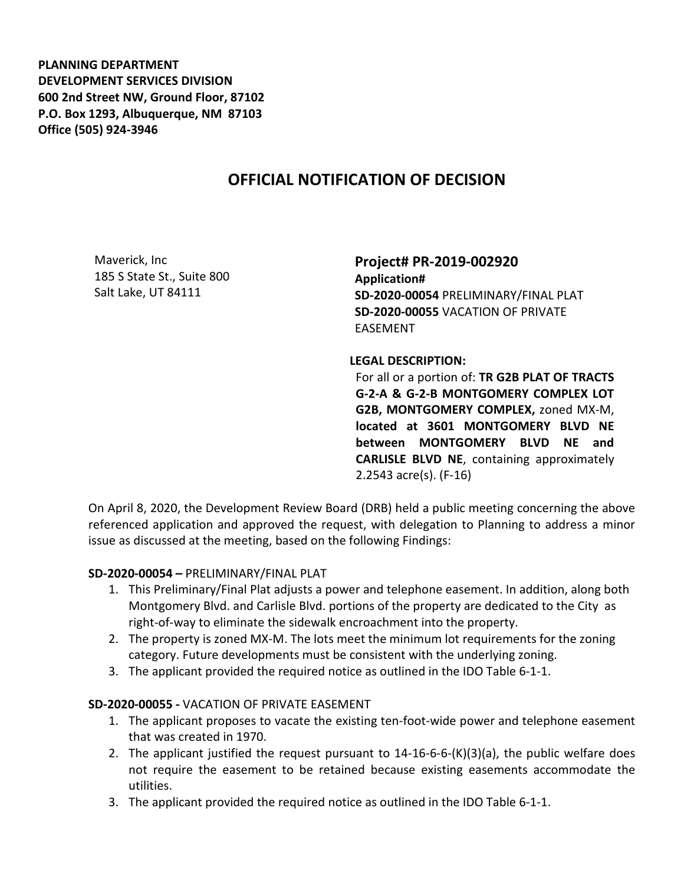**PLANNING DEPARTMENT DEVELOPMENT SERVICES DIVISION 600 2nd Street NW, Ground Floor, 87102 P.O. Box 1293, Albuquerque, NM 87103 Office (505) 924-3946** 

## **OFFICIAL NOTIFICATION OF DECISION**

Maverick, Inc 185 S State St., Suite 800 Salt Lake, UT 84111

**Project# PR-2019-002920 Application# SD-2020-00054** PRELIMINARY/FINAL PLAT **SD-2020-00055** VACATION OF PRIVATE EASEMENT

## **LEGAL DESCRIPTION:**

For all or a portion of: **TR G2B PLAT OF TRACTS G-2-A & G-2-B MONTGOMERY COMPLEX LOT G2B, MONTGOMERY COMPLEX,** zoned MX-M, **located at 3601 MONTGOMERY BLVD NE between MONTGOMERY BLVD NE and CARLISLE BLVD NE**, containing approximately 2.2543 acre(s). (F-16)

On April 8, 2020, the Development Review Board (DRB) held a public meeting concerning the above referenced application and approved the request, with delegation to Planning to address a minor issue as discussed at the meeting, based on the following Findings:

## **SD-2020-00054 –** PRELIMINARY/FINAL PLAT

- 1. This Preliminary/Final Plat adjusts a power and telephone easement. In addition, along both Montgomery Blvd. and Carlisle Blvd. portions of the property are dedicated to the City as right-of-way to eliminate the sidewalk encroachment into the property.
- 2. The property is zoned MX-M. The lots meet the minimum lot requirements for the zoning category. Future developments must be consistent with the underlying zoning.
- 3. The applicant provided the required notice as outlined in the IDO Table 6-1-1.

## **SD-2020-00055 -** VACATION OF PRIVATE EASEMENT

- 1. The applicant proposes to vacate the existing ten-foot-wide power and telephone easement that was created in 1970.
- 2. The applicant justified the request pursuant to 14-16-6-6-(K)(3)(a), the public welfare does not require the easement to be retained because existing easements accommodate the utilities.
- 3. The applicant provided the required notice as outlined in the IDO Table 6-1-1.